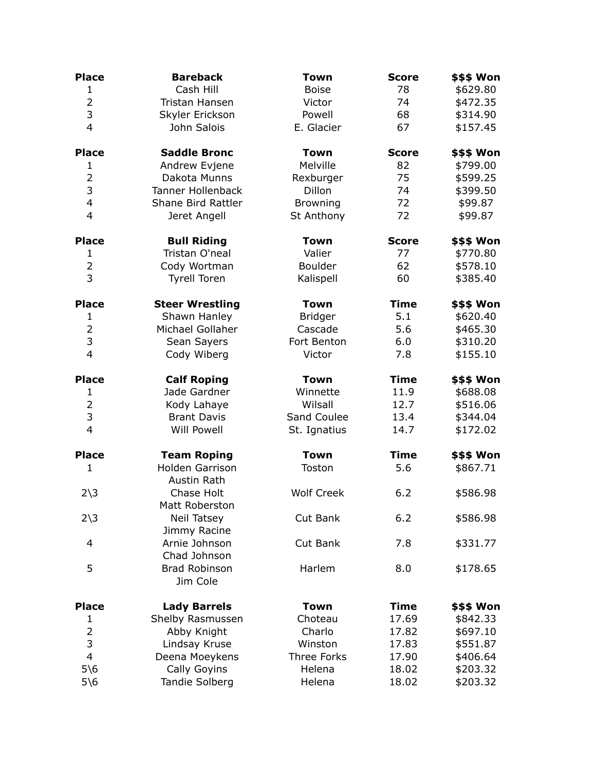| Cash Hill<br><b>Boise</b><br>78<br>$\mathbf{1}$<br>\$629.80<br>$\overline{2}$<br>\$472.35<br>Tristan Hansen<br>74<br>Victor<br>3<br>Skyler Erickson<br>68<br>\$314.90<br>Powell<br>$\overline{4}$<br>E. Glacier<br>John Salois<br>67<br>\$157.45<br><b>Place</b><br><b>Saddle Bronc</b><br>\$\$\$ Won<br><b>Town</b><br><b>Score</b><br>Melville<br>82<br>$\mathbf{1}$<br>Andrew Evjene<br>\$799.00<br>$\overline{2}$<br>75<br>\$599.25<br>Dakota Munns<br>Rexburger<br>3<br>Dillon<br><b>Tanner Hollenback</b><br>74<br>\$399.50<br>4<br>Shane Bird Rattler<br>72<br>\$99.87<br><b>Browning</b><br>4<br>St Anthony<br>72<br>\$99.87<br>Jeret Angell<br><b>Bull Riding</b><br><b>Place</b><br>Town<br><b>Score</b><br>Tristan O'neal<br>Valier<br>77<br>\$770.80<br>$\mathbf{1}$<br>$\overline{2}$<br>62<br>Boulder<br>\$578.10<br>Cody Wortman<br>3<br>Kalispell<br>60<br>\$385.40<br><b>Tyrell Toren</b><br><b>Place</b><br><b>Steer Wrestling</b><br><b>Town</b><br><b>Time</b><br>\$\$\$ Won<br>5.1<br>Shawn Hanley<br><b>Bridger</b><br>\$620.40<br>1<br>Michael Gollaher<br>$\overline{2}$<br>Cascade<br>5.6<br>\$465.30<br>3<br>Sean Sayers<br>Fort Benton<br>6.0<br>\$310.20<br>\$155.10<br>4<br>Cody Wiberg<br>7.8<br>Victor<br><b>Place</b><br><b>Calf Roping</b><br><b>Town</b><br><b>Time</b><br>\$\$\$ Won<br>Jade Gardner<br>Winnette<br>11.9<br>\$688.08<br>1<br>$\overline{2}$<br>Wilsall<br>12.7<br>\$516.06<br>Kody Lahaye<br>3<br>Sand Coulee<br>13.4<br>\$344.04<br><b>Brant Davis</b><br>4<br><b>Will Powell</b><br>St. Ignatius<br>14.7<br>\$172.02<br><b>Town</b><br><b>Time</b><br><b>Place</b><br><b>Team Roping</b><br>\$\$\$ Won<br><b>Holden Garrison</b><br>5.6<br>\$867.71<br>1<br>Toston<br>Austin Rath<br><b>Wolf Creek</b><br>Chase Holt<br>6.2<br>$2\overline{\smash)3}$<br>\$586.98<br>Matt Roberston<br>Cut Bank<br>6.2<br>$2\overline{\smash)3}$<br><b>Neil Tatsey</b><br>\$586.98<br>Jimmy Racine<br>Arnie Johnson<br>Cut Bank<br>7.8<br>\$331.77<br>4<br>Chad Johnson<br>5<br><b>Brad Robinson</b><br>Harlem<br>8.0<br>\$178.65<br>Jim Cole<br><b>Place</b><br><b>Town</b><br><b>Time</b><br><b>Lady Barrels</b><br>17.69<br>Shelby Rasmussen<br>Choteau<br>\$842.33<br>1<br>2<br>Charlo<br>\$697.10<br>Abby Knight<br>17.82<br>3<br>\$551.87<br>Lindsay Kruse<br>Winston<br>17.83<br>$\overline{4}$<br>Deena Moeykens<br>Three Forks<br>17.90<br>\$406.64<br>$5\$ 6<br>Cally Goyins<br>Helena<br>\$203.32<br>18.02 | <b>Place</b> | <b>Bareback</b> | <b>Town</b> | <b>Score</b> | \$\$\$ Won        |
|------------------------------------------------------------------------------------------------------------------------------------------------------------------------------------------------------------------------------------------------------------------------------------------------------------------------------------------------------------------------------------------------------------------------------------------------------------------------------------------------------------------------------------------------------------------------------------------------------------------------------------------------------------------------------------------------------------------------------------------------------------------------------------------------------------------------------------------------------------------------------------------------------------------------------------------------------------------------------------------------------------------------------------------------------------------------------------------------------------------------------------------------------------------------------------------------------------------------------------------------------------------------------------------------------------------------------------------------------------------------------------------------------------------------------------------------------------------------------------------------------------------------------------------------------------------------------------------------------------------------------------------------------------------------------------------------------------------------------------------------------------------------------------------------------------------------------------------------------------------------------------------------------------------------------------------------------------------------------------------------------------------------------------------------------------------------------------------------------------------------------------------------------------------------------------------------------------------------------------------------------------------------------------------------------------------------------------------------------------------------------------------------------------------------------------------------------------|--------------|-----------------|-------------|--------------|-------------------|
|                                                                                                                                                                                                                                                                                                                                                                                                                                                                                                                                                                                                                                                                                                                                                                                                                                                                                                                                                                                                                                                                                                                                                                                                                                                                                                                                                                                                                                                                                                                                                                                                                                                                                                                                                                                                                                                                                                                                                                                                                                                                                                                                                                                                                                                                                                                                                                                                                                                            |              |                 |             |              |                   |
|                                                                                                                                                                                                                                                                                                                                                                                                                                                                                                                                                                                                                                                                                                                                                                                                                                                                                                                                                                                                                                                                                                                                                                                                                                                                                                                                                                                                                                                                                                                                                                                                                                                                                                                                                                                                                                                                                                                                                                                                                                                                                                                                                                                                                                                                                                                                                                                                                                                            |              |                 |             |              |                   |
|                                                                                                                                                                                                                                                                                                                                                                                                                                                                                                                                                                                                                                                                                                                                                                                                                                                                                                                                                                                                                                                                                                                                                                                                                                                                                                                                                                                                                                                                                                                                                                                                                                                                                                                                                                                                                                                                                                                                                                                                                                                                                                                                                                                                                                                                                                                                                                                                                                                            |              |                 |             |              |                   |
|                                                                                                                                                                                                                                                                                                                                                                                                                                                                                                                                                                                                                                                                                                                                                                                                                                                                                                                                                                                                                                                                                                                                                                                                                                                                                                                                                                                                                                                                                                                                                                                                                                                                                                                                                                                                                                                                                                                                                                                                                                                                                                                                                                                                                                                                                                                                                                                                                                                            |              |                 |             |              |                   |
|                                                                                                                                                                                                                                                                                                                                                                                                                                                                                                                                                                                                                                                                                                                                                                                                                                                                                                                                                                                                                                                                                                                                                                                                                                                                                                                                                                                                                                                                                                                                                                                                                                                                                                                                                                                                                                                                                                                                                                                                                                                                                                                                                                                                                                                                                                                                                                                                                                                            |              |                 |             |              |                   |
|                                                                                                                                                                                                                                                                                                                                                                                                                                                                                                                                                                                                                                                                                                                                                                                                                                                                                                                                                                                                                                                                                                                                                                                                                                                                                                                                                                                                                                                                                                                                                                                                                                                                                                                                                                                                                                                                                                                                                                                                                                                                                                                                                                                                                                                                                                                                                                                                                                                            |              |                 |             |              |                   |
|                                                                                                                                                                                                                                                                                                                                                                                                                                                                                                                                                                                                                                                                                                                                                                                                                                                                                                                                                                                                                                                                                                                                                                                                                                                                                                                                                                                                                                                                                                                                                                                                                                                                                                                                                                                                                                                                                                                                                                                                                                                                                                                                                                                                                                                                                                                                                                                                                                                            |              |                 |             |              |                   |
|                                                                                                                                                                                                                                                                                                                                                                                                                                                                                                                                                                                                                                                                                                                                                                                                                                                                                                                                                                                                                                                                                                                                                                                                                                                                                                                                                                                                                                                                                                                                                                                                                                                                                                                                                                                                                                                                                                                                                                                                                                                                                                                                                                                                                                                                                                                                                                                                                                                            |              |                 |             |              |                   |
|                                                                                                                                                                                                                                                                                                                                                                                                                                                                                                                                                                                                                                                                                                                                                                                                                                                                                                                                                                                                                                                                                                                                                                                                                                                                                                                                                                                                                                                                                                                                                                                                                                                                                                                                                                                                                                                                                                                                                                                                                                                                                                                                                                                                                                                                                                                                                                                                                                                            |              |                 |             |              |                   |
|                                                                                                                                                                                                                                                                                                                                                                                                                                                                                                                                                                                                                                                                                                                                                                                                                                                                                                                                                                                                                                                                                                                                                                                                                                                                                                                                                                                                                                                                                                                                                                                                                                                                                                                                                                                                                                                                                                                                                                                                                                                                                                                                                                                                                                                                                                                                                                                                                                                            |              |                 |             |              |                   |
|                                                                                                                                                                                                                                                                                                                                                                                                                                                                                                                                                                                                                                                                                                                                                                                                                                                                                                                                                                                                                                                                                                                                                                                                                                                                                                                                                                                                                                                                                                                                                                                                                                                                                                                                                                                                                                                                                                                                                                                                                                                                                                                                                                                                                                                                                                                                                                                                                                                            |              |                 |             |              |                   |
|                                                                                                                                                                                                                                                                                                                                                                                                                                                                                                                                                                                                                                                                                                                                                                                                                                                                                                                                                                                                                                                                                                                                                                                                                                                                                                                                                                                                                                                                                                                                                                                                                                                                                                                                                                                                                                                                                                                                                                                                                                                                                                                                                                                                                                                                                                                                                                                                                                                            |              |                 |             |              | <b>\$\$\$ Won</b> |
|                                                                                                                                                                                                                                                                                                                                                                                                                                                                                                                                                                                                                                                                                                                                                                                                                                                                                                                                                                                                                                                                                                                                                                                                                                                                                                                                                                                                                                                                                                                                                                                                                                                                                                                                                                                                                                                                                                                                                                                                                                                                                                                                                                                                                                                                                                                                                                                                                                                            |              |                 |             |              |                   |
|                                                                                                                                                                                                                                                                                                                                                                                                                                                                                                                                                                                                                                                                                                                                                                                                                                                                                                                                                                                                                                                                                                                                                                                                                                                                                                                                                                                                                                                                                                                                                                                                                                                                                                                                                                                                                                                                                                                                                                                                                                                                                                                                                                                                                                                                                                                                                                                                                                                            |              |                 |             |              |                   |
|                                                                                                                                                                                                                                                                                                                                                                                                                                                                                                                                                                                                                                                                                                                                                                                                                                                                                                                                                                                                                                                                                                                                                                                                                                                                                                                                                                                                                                                                                                                                                                                                                                                                                                                                                                                                                                                                                                                                                                                                                                                                                                                                                                                                                                                                                                                                                                                                                                                            |              |                 |             |              |                   |
|                                                                                                                                                                                                                                                                                                                                                                                                                                                                                                                                                                                                                                                                                                                                                                                                                                                                                                                                                                                                                                                                                                                                                                                                                                                                                                                                                                                                                                                                                                                                                                                                                                                                                                                                                                                                                                                                                                                                                                                                                                                                                                                                                                                                                                                                                                                                                                                                                                                            |              |                 |             |              |                   |
|                                                                                                                                                                                                                                                                                                                                                                                                                                                                                                                                                                                                                                                                                                                                                                                                                                                                                                                                                                                                                                                                                                                                                                                                                                                                                                                                                                                                                                                                                                                                                                                                                                                                                                                                                                                                                                                                                                                                                                                                                                                                                                                                                                                                                                                                                                                                                                                                                                                            |              |                 |             |              |                   |
|                                                                                                                                                                                                                                                                                                                                                                                                                                                                                                                                                                                                                                                                                                                                                                                                                                                                                                                                                                                                                                                                                                                                                                                                                                                                                                                                                                                                                                                                                                                                                                                                                                                                                                                                                                                                                                                                                                                                                                                                                                                                                                                                                                                                                                                                                                                                                                                                                                                            |              |                 |             |              |                   |
|                                                                                                                                                                                                                                                                                                                                                                                                                                                                                                                                                                                                                                                                                                                                                                                                                                                                                                                                                                                                                                                                                                                                                                                                                                                                                                                                                                                                                                                                                                                                                                                                                                                                                                                                                                                                                                                                                                                                                                                                                                                                                                                                                                                                                                                                                                                                                                                                                                                            |              |                 |             |              |                   |
|                                                                                                                                                                                                                                                                                                                                                                                                                                                                                                                                                                                                                                                                                                                                                                                                                                                                                                                                                                                                                                                                                                                                                                                                                                                                                                                                                                                                                                                                                                                                                                                                                                                                                                                                                                                                                                                                                                                                                                                                                                                                                                                                                                                                                                                                                                                                                                                                                                                            |              |                 |             |              |                   |
|                                                                                                                                                                                                                                                                                                                                                                                                                                                                                                                                                                                                                                                                                                                                                                                                                                                                                                                                                                                                                                                                                                                                                                                                                                                                                                                                                                                                                                                                                                                                                                                                                                                                                                                                                                                                                                                                                                                                                                                                                                                                                                                                                                                                                                                                                                                                                                                                                                                            |              |                 |             |              |                   |
|                                                                                                                                                                                                                                                                                                                                                                                                                                                                                                                                                                                                                                                                                                                                                                                                                                                                                                                                                                                                                                                                                                                                                                                                                                                                                                                                                                                                                                                                                                                                                                                                                                                                                                                                                                                                                                                                                                                                                                                                                                                                                                                                                                                                                                                                                                                                                                                                                                                            |              |                 |             |              |                   |
|                                                                                                                                                                                                                                                                                                                                                                                                                                                                                                                                                                                                                                                                                                                                                                                                                                                                                                                                                                                                                                                                                                                                                                                                                                                                                                                                                                                                                                                                                                                                                                                                                                                                                                                                                                                                                                                                                                                                                                                                                                                                                                                                                                                                                                                                                                                                                                                                                                                            |              |                 |             |              |                   |
|                                                                                                                                                                                                                                                                                                                                                                                                                                                                                                                                                                                                                                                                                                                                                                                                                                                                                                                                                                                                                                                                                                                                                                                                                                                                                                                                                                                                                                                                                                                                                                                                                                                                                                                                                                                                                                                                                                                                                                                                                                                                                                                                                                                                                                                                                                                                                                                                                                                            |              |                 |             |              |                   |
|                                                                                                                                                                                                                                                                                                                                                                                                                                                                                                                                                                                                                                                                                                                                                                                                                                                                                                                                                                                                                                                                                                                                                                                                                                                                                                                                                                                                                                                                                                                                                                                                                                                                                                                                                                                                                                                                                                                                                                                                                                                                                                                                                                                                                                                                                                                                                                                                                                                            |              |                 |             |              |                   |
|                                                                                                                                                                                                                                                                                                                                                                                                                                                                                                                                                                                                                                                                                                                                                                                                                                                                                                                                                                                                                                                                                                                                                                                                                                                                                                                                                                                                                                                                                                                                                                                                                                                                                                                                                                                                                                                                                                                                                                                                                                                                                                                                                                                                                                                                                                                                                                                                                                                            |              |                 |             |              |                   |
|                                                                                                                                                                                                                                                                                                                                                                                                                                                                                                                                                                                                                                                                                                                                                                                                                                                                                                                                                                                                                                                                                                                                                                                                                                                                                                                                                                                                                                                                                                                                                                                                                                                                                                                                                                                                                                                                                                                                                                                                                                                                                                                                                                                                                                                                                                                                                                                                                                                            |              |                 |             |              |                   |
|                                                                                                                                                                                                                                                                                                                                                                                                                                                                                                                                                                                                                                                                                                                                                                                                                                                                                                                                                                                                                                                                                                                                                                                                                                                                                                                                                                                                                                                                                                                                                                                                                                                                                                                                                                                                                                                                                                                                                                                                                                                                                                                                                                                                                                                                                                                                                                                                                                                            |              |                 |             |              |                   |
|                                                                                                                                                                                                                                                                                                                                                                                                                                                                                                                                                                                                                                                                                                                                                                                                                                                                                                                                                                                                                                                                                                                                                                                                                                                                                                                                                                                                                                                                                                                                                                                                                                                                                                                                                                                                                                                                                                                                                                                                                                                                                                                                                                                                                                                                                                                                                                                                                                                            |              |                 |             |              |                   |
|                                                                                                                                                                                                                                                                                                                                                                                                                                                                                                                                                                                                                                                                                                                                                                                                                                                                                                                                                                                                                                                                                                                                                                                                                                                                                                                                                                                                                                                                                                                                                                                                                                                                                                                                                                                                                                                                                                                                                                                                                                                                                                                                                                                                                                                                                                                                                                                                                                                            |              |                 |             |              |                   |
|                                                                                                                                                                                                                                                                                                                                                                                                                                                                                                                                                                                                                                                                                                                                                                                                                                                                                                                                                                                                                                                                                                                                                                                                                                                                                                                                                                                                                                                                                                                                                                                                                                                                                                                                                                                                                                                                                                                                                                                                                                                                                                                                                                                                                                                                                                                                                                                                                                                            |              |                 |             |              |                   |
|                                                                                                                                                                                                                                                                                                                                                                                                                                                                                                                                                                                                                                                                                                                                                                                                                                                                                                                                                                                                                                                                                                                                                                                                                                                                                                                                                                                                                                                                                                                                                                                                                                                                                                                                                                                                                                                                                                                                                                                                                                                                                                                                                                                                                                                                                                                                                                                                                                                            |              |                 |             |              |                   |
|                                                                                                                                                                                                                                                                                                                                                                                                                                                                                                                                                                                                                                                                                                                                                                                                                                                                                                                                                                                                                                                                                                                                                                                                                                                                                                                                                                                                                                                                                                                                                                                                                                                                                                                                                                                                                                                                                                                                                                                                                                                                                                                                                                                                                                                                                                                                                                                                                                                            |              |                 |             |              |                   |
|                                                                                                                                                                                                                                                                                                                                                                                                                                                                                                                                                                                                                                                                                                                                                                                                                                                                                                                                                                                                                                                                                                                                                                                                                                                                                                                                                                                                                                                                                                                                                                                                                                                                                                                                                                                                                                                                                                                                                                                                                                                                                                                                                                                                                                                                                                                                                                                                                                                            |              |                 |             |              |                   |
|                                                                                                                                                                                                                                                                                                                                                                                                                                                                                                                                                                                                                                                                                                                                                                                                                                                                                                                                                                                                                                                                                                                                                                                                                                                                                                                                                                                                                                                                                                                                                                                                                                                                                                                                                                                                                                                                                                                                                                                                                                                                                                                                                                                                                                                                                                                                                                                                                                                            |              |                 |             |              |                   |
|                                                                                                                                                                                                                                                                                                                                                                                                                                                                                                                                                                                                                                                                                                                                                                                                                                                                                                                                                                                                                                                                                                                                                                                                                                                                                                                                                                                                                                                                                                                                                                                                                                                                                                                                                                                                                                                                                                                                                                                                                                                                                                                                                                                                                                                                                                                                                                                                                                                            |              |                 |             |              |                   |
|                                                                                                                                                                                                                                                                                                                                                                                                                                                                                                                                                                                                                                                                                                                                                                                                                                                                                                                                                                                                                                                                                                                                                                                                                                                                                                                                                                                                                                                                                                                                                                                                                                                                                                                                                                                                                                                                                                                                                                                                                                                                                                                                                                                                                                                                                                                                                                                                                                                            |              |                 |             |              | \$\$\$ Won        |
|                                                                                                                                                                                                                                                                                                                                                                                                                                                                                                                                                                                                                                                                                                                                                                                                                                                                                                                                                                                                                                                                                                                                                                                                                                                                                                                                                                                                                                                                                                                                                                                                                                                                                                                                                                                                                                                                                                                                                                                                                                                                                                                                                                                                                                                                                                                                                                                                                                                            |              |                 |             |              |                   |
|                                                                                                                                                                                                                                                                                                                                                                                                                                                                                                                                                                                                                                                                                                                                                                                                                                                                                                                                                                                                                                                                                                                                                                                                                                                                                                                                                                                                                                                                                                                                                                                                                                                                                                                                                                                                                                                                                                                                                                                                                                                                                                                                                                                                                                                                                                                                                                                                                                                            |              |                 |             |              |                   |
|                                                                                                                                                                                                                                                                                                                                                                                                                                                                                                                                                                                                                                                                                                                                                                                                                                                                                                                                                                                                                                                                                                                                                                                                                                                                                                                                                                                                                                                                                                                                                                                                                                                                                                                                                                                                                                                                                                                                                                                                                                                                                                                                                                                                                                                                                                                                                                                                                                                            |              |                 |             |              |                   |
|                                                                                                                                                                                                                                                                                                                                                                                                                                                                                                                                                                                                                                                                                                                                                                                                                                                                                                                                                                                                                                                                                                                                                                                                                                                                                                                                                                                                                                                                                                                                                                                                                                                                                                                                                                                                                                                                                                                                                                                                                                                                                                                                                                                                                                                                                                                                                                                                                                                            |              |                 |             |              |                   |
|                                                                                                                                                                                                                                                                                                                                                                                                                                                                                                                                                                                                                                                                                                                                                                                                                                                                                                                                                                                                                                                                                                                                                                                                                                                                                                                                                                                                                                                                                                                                                                                                                                                                                                                                                                                                                                                                                                                                                                                                                                                                                                                                                                                                                                                                                                                                                                                                                                                            |              |                 |             |              |                   |
|                                                                                                                                                                                                                                                                                                                                                                                                                                                                                                                                                                                                                                                                                                                                                                                                                                                                                                                                                                                                                                                                                                                                                                                                                                                                                                                                                                                                                                                                                                                                                                                                                                                                                                                                                                                                                                                                                                                                                                                                                                                                                                                                                                                                                                                                                                                                                                                                                                                            | $5\sqrt{6}$  | Tandie Solberg  | Helena      | 18.02        | \$203.32          |